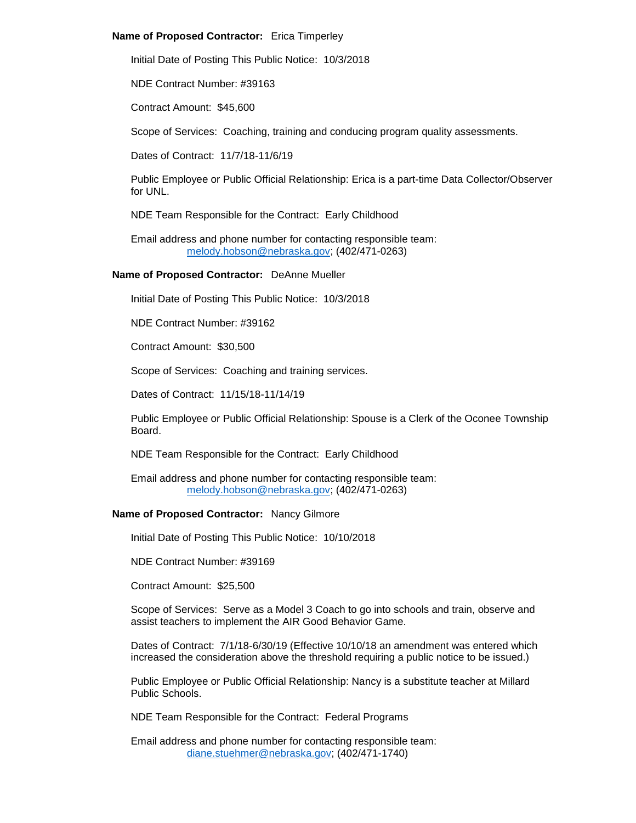### **Name of Proposed Contractor:** Erica Timperley

Initial Date of Posting This Public Notice: 10/3/2018

NDE Contract Number: #39163

Contract Amount: \$45,600

Scope of Services: Coaching, training and conducing program quality assessments.

Dates of Contract: 11/7/18-11/6/19

Public Employee or Public Official Relationship: Erica is a part-time Data Collector/Observer for UNL.

NDE Team Responsible for the Contract: Early Childhood

Email address and phone number for contacting responsible team: [melody.hobson@nebraska.gov;](mailto:melody.hobson@nebraska.gov) (402/471-0263)

# **Name of Proposed Contractor:** DeAnne Mueller

Initial Date of Posting This Public Notice: 10/3/2018

NDE Contract Number: #39162

Contract Amount: \$30,500

Scope of Services: Coaching and training services.

Dates of Contract: 11/15/18-11/14/19

Public Employee or Public Official Relationship: Spouse is a Clerk of the Oconee Township Board.

NDE Team Responsible for the Contract: Early Childhood

Email address and phone number for contacting responsible team: [melody.hobson@nebraska.gov;](mailto:melody.hobson@nebraska.gov) (402/471-0263)

### **Name of Proposed Contractor:** Nancy Gilmore

Initial Date of Posting This Public Notice: 10/10/2018

NDE Contract Number: #39169

Contract Amount: \$25,500

Scope of Services: Serve as a Model 3 Coach to go into schools and train, observe and assist teachers to implement the AIR Good Behavior Game.

Dates of Contract: 7/1/18-6/30/19 (Effective 10/10/18 an amendment was entered which increased the consideration above the threshold requiring a public notice to be issued.)

Public Employee or Public Official Relationship: Nancy is a substitute teacher at Millard Public Schools.

NDE Team Responsible for the Contract: Federal Programs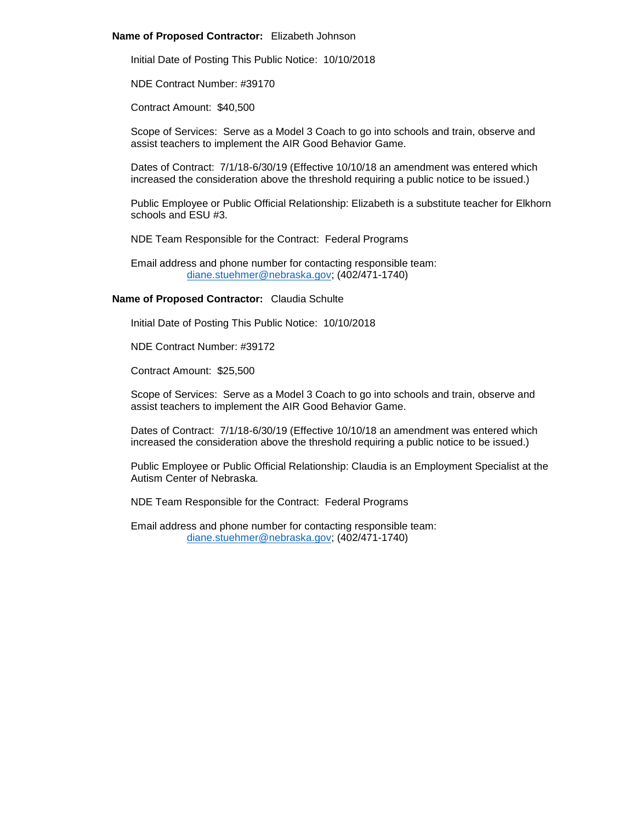#### **Name of Proposed Contractor:** Elizabeth Johnson

Initial Date of Posting This Public Notice: 10/10/2018

NDE Contract Number: #39170

Contract Amount: \$40,500

Scope of Services: Serve as a Model 3 Coach to go into schools and train, observe and assist teachers to implement the AIR Good Behavior Game.

Dates of Contract: 7/1/18-6/30/19 (Effective 10/10/18 an amendment was entered which increased the consideration above the threshold requiring a public notice to be issued.)

Public Employee or Public Official Relationship: Elizabeth is a substitute teacher for Elkhorn schools and ESU #3.

NDE Team Responsible for the Contract: Federal Programs

Email address and phone number for contacting responsible team: [diane.stuehmer@nebraska.gov;](mailto:diane.stuehmer@nebraska.gov) (402/471-1740)

# **Name of Proposed Contractor:** Claudia Schulte

Initial Date of Posting This Public Notice: 10/10/2018

NDE Contract Number: #39172

Contract Amount: \$25,500

Scope of Services: Serve as a Model 3 Coach to go into schools and train, observe and assist teachers to implement the AIR Good Behavior Game.

Dates of Contract: 7/1/18-6/30/19 (Effective 10/10/18 an amendment was entered which increased the consideration above the threshold requiring a public notice to be issued.)

Public Employee or Public Official Relationship: Claudia is an Employment Specialist at the Autism Center of Nebraska.

NDE Team Responsible for the Contract: Federal Programs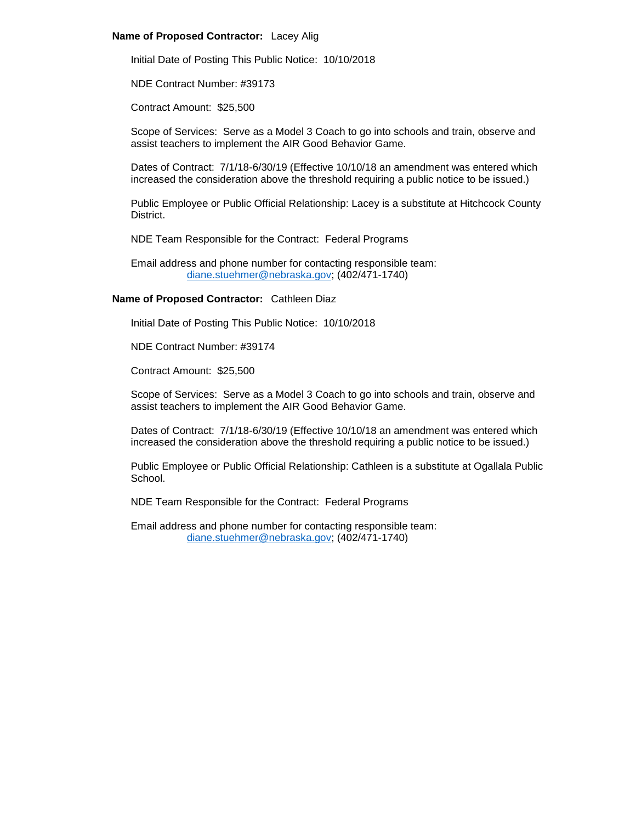### **Name of Proposed Contractor:** Lacey Alig

Initial Date of Posting This Public Notice: 10/10/2018

NDE Contract Number: #39173

Contract Amount: \$25,500

Scope of Services: Serve as a Model 3 Coach to go into schools and train, observe and assist teachers to implement the AIR Good Behavior Game.

Dates of Contract: 7/1/18-6/30/19 (Effective 10/10/18 an amendment was entered which increased the consideration above the threshold requiring a public notice to be issued.)

Public Employee or Public Official Relationship: Lacey is a substitute at Hitchcock County District.

NDE Team Responsible for the Contract: Federal Programs

Email address and phone number for contacting responsible team: [diane.stuehmer@nebraska.gov;](mailto:diane.stuehmer@nebraska.gov) (402/471-1740)

# **Name of Proposed Contractor:** Cathleen Diaz

Initial Date of Posting This Public Notice: 10/10/2018

NDE Contract Number: #39174

Contract Amount: \$25,500

Scope of Services: Serve as a Model 3 Coach to go into schools and train, observe and assist teachers to implement the AIR Good Behavior Game.

Dates of Contract: 7/1/18-6/30/19 (Effective 10/10/18 an amendment was entered which increased the consideration above the threshold requiring a public notice to be issued.)

Public Employee or Public Official Relationship: Cathleen is a substitute at Ogallala Public School.

NDE Team Responsible for the Contract: Federal Programs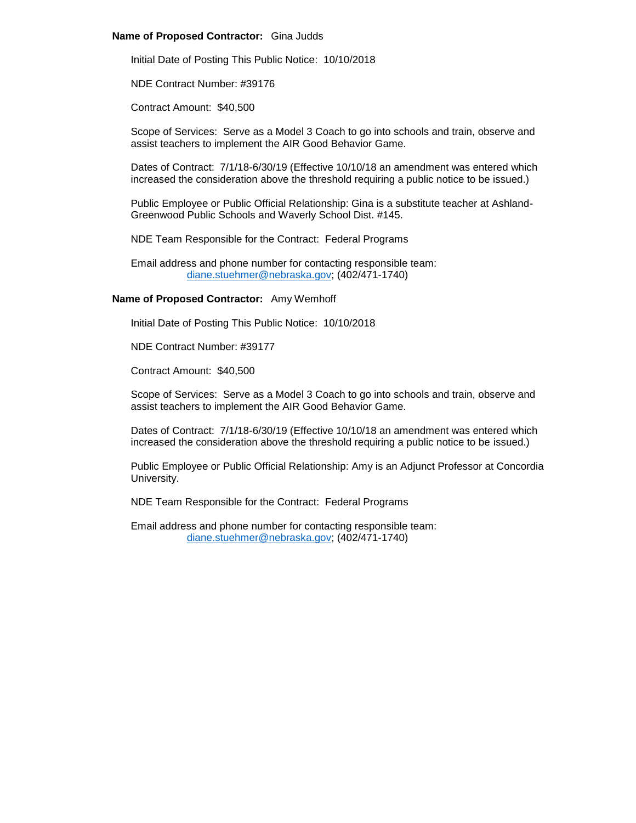#### **Name of Proposed Contractor:** Gina Judds

Initial Date of Posting This Public Notice: 10/10/2018

NDE Contract Number: #39176

Contract Amount: \$40,500

Scope of Services: Serve as a Model 3 Coach to go into schools and train, observe and assist teachers to implement the AIR Good Behavior Game.

Dates of Contract: 7/1/18-6/30/19 (Effective 10/10/18 an amendment was entered which increased the consideration above the threshold requiring a public notice to be issued.)

Public Employee or Public Official Relationship: Gina is a substitute teacher at Ashland-Greenwood Public Schools and Waverly School Dist. #145.

NDE Team Responsible for the Contract: Federal Programs

Email address and phone number for contacting responsible team: [diane.stuehmer@nebraska.gov;](mailto:diane.stuehmer@nebraska.gov) (402/471-1740)

# **Name of Proposed Contractor:** Amy Wemhoff

Initial Date of Posting This Public Notice: 10/10/2018

NDE Contract Number: #39177

Contract Amount: \$40,500

Scope of Services: Serve as a Model 3 Coach to go into schools and train, observe and assist teachers to implement the AIR Good Behavior Game.

Dates of Contract: 7/1/18-6/30/19 (Effective 10/10/18 an amendment was entered which increased the consideration above the threshold requiring a public notice to be issued.)

Public Employee or Public Official Relationship: Amy is an Adjunct Professor at Concordia University.

NDE Team Responsible for the Contract: Federal Programs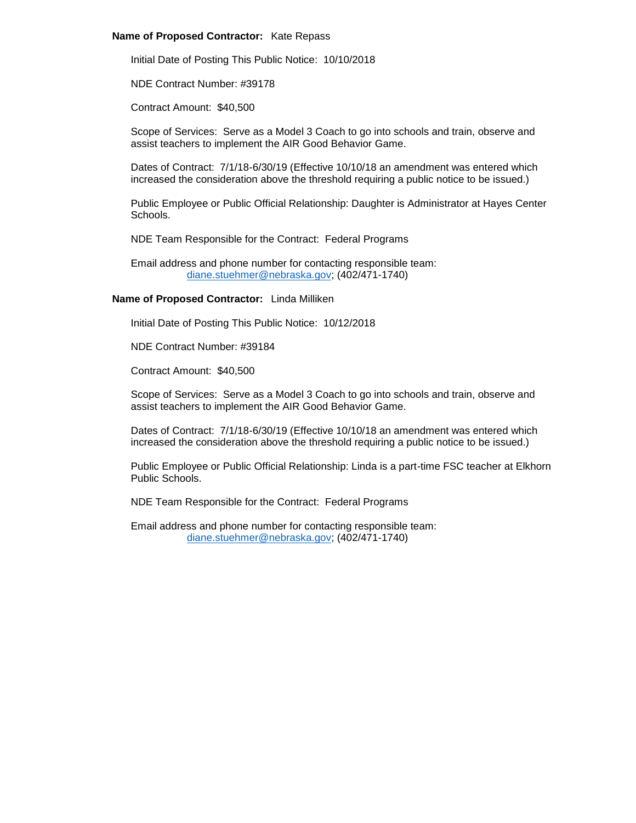#### **Name of Proposed Contractor:** Kate Repass

Initial Date of Posting This Public Notice: 10/10/2018

NDE Contract Number: #39178

Contract Amount: \$40,500

Scope of Services: Serve as a Model 3 Coach to go into schools and train, observe and assist teachers to implement the AIR Good Behavior Game.

Dates of Contract: 7/1/18-6/30/19 (Effective 10/10/18 an amendment was entered which increased the consideration above the threshold requiring a public notice to be issued.)

Public Employee or Public Official Relationship: Daughter is Administrator at Hayes Center Schools.

NDE Team Responsible for the Contract: Federal Programs

Email address and phone number for contacting responsible team: [diane.stuehmer@nebraska.gov;](mailto:diane.stuehmer@nebraska.gov) (402/471-1740)

# **Name of Proposed Contractor:** Linda Milliken

Initial Date of Posting This Public Notice: 10/12/2018

NDE Contract Number: #39184

Contract Amount: \$40,500

Scope of Services: Serve as a Model 3 Coach to go into schools and train, observe and assist teachers to implement the AIR Good Behavior Game.

Dates of Contract: 7/1/18-6/30/19 (Effective 10/10/18 an amendment was entered which increased the consideration above the threshold requiring a public notice to be issued.)

Public Employee or Public Official Relationship: Linda is a part-time FSC teacher at Elkhorn Public Schools.

NDE Team Responsible for the Contract: Federal Programs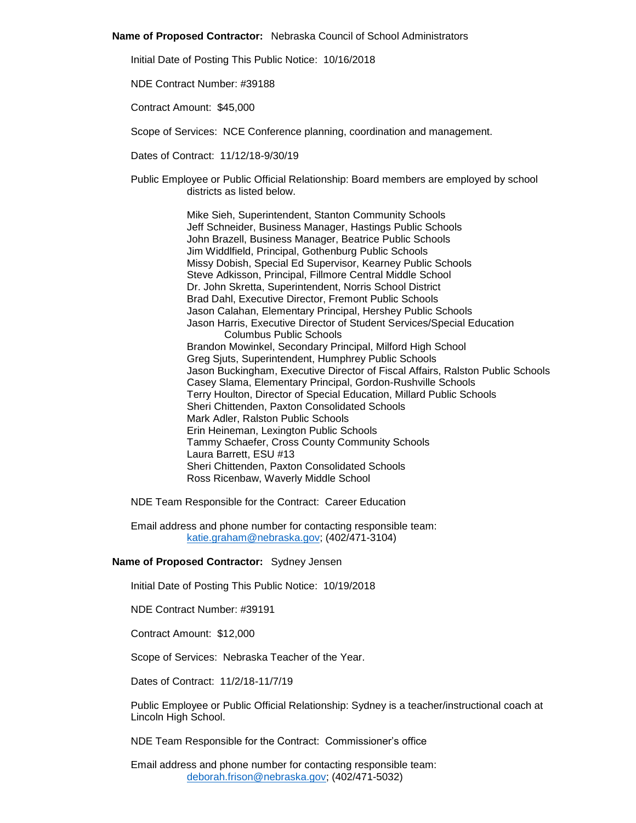#### **Name of Proposed Contractor:** Nebraska Council of School Administrators

Initial Date of Posting This Public Notice: 10/16/2018

NDE Contract Number: #39188

Contract Amount: \$45,000

Scope of Services: NCE Conference planning, coordination and management.

Dates of Contract: 11/12/18-9/30/19

Public Employee or Public Official Relationship: Board members are employed by school districts as listed below.

> Mike Sieh, Superintendent, Stanton Community Schools Jeff Schneider, Business Manager, Hastings Public Schools John Brazell, Business Manager, Beatrice Public Schools Jim Widdlfield, Principal, Gothenburg Public Schools Missy Dobish, Special Ed Supervisor, Kearney Public Schools Steve Adkisson, Principal, Fillmore Central Middle School Dr. John Skretta, Superintendent, Norris School District Brad Dahl, Executive Director, Fremont Public Schools Jason Calahan, Elementary Principal, Hershey Public Schools Jason Harris, Executive Director of Student Services/Special Education Columbus Public Schools Brandon Mowinkel, Secondary Principal, Milford High School Greg Sjuts, Superintendent, Humphrey Public Schools Jason Buckingham, Executive Director of Fiscal Affairs, Ralston Public Schools Casey Slama, Elementary Principal, Gordon-Rushville Schools Terry Houlton, Director of Special Education, Millard Public Schools Sheri Chittenden, Paxton Consolidated Schools Mark Adler, Ralston Public Schools Erin Heineman, Lexington Public Schools Tammy Schaefer, Cross County Community Schools Laura Barrett, ESU #13 Sheri Chittenden, Paxton Consolidated Schools Ross Ricenbaw, Waverly Middle School

NDE Team Responsible for the Contract: Career Education

Email address and phone number for contacting responsible team: [katie.graham@nebraska.gov;](mailto:katie.graham@nebraska.gov) (402/471-3104)

#### **Name of Proposed Contractor:** Sydney Jensen

Initial Date of Posting This Public Notice: 10/19/2018

NDE Contract Number: #39191

Contract Amount: \$12,000

Scope of Services: Nebraska Teacher of the Year.

Dates of Contract: 11/2/18-11/7/19

Public Employee or Public Official Relationship: Sydney is a teacher/instructional coach at Lincoln High School.

NDE Team Responsible for the Contract: Commissioner's office

Email address and phone number for contacting responsible team: [deborah.frison@nebraska.gov;](mailto:deborah.frison@nebraska.gov) (402/471-5032)